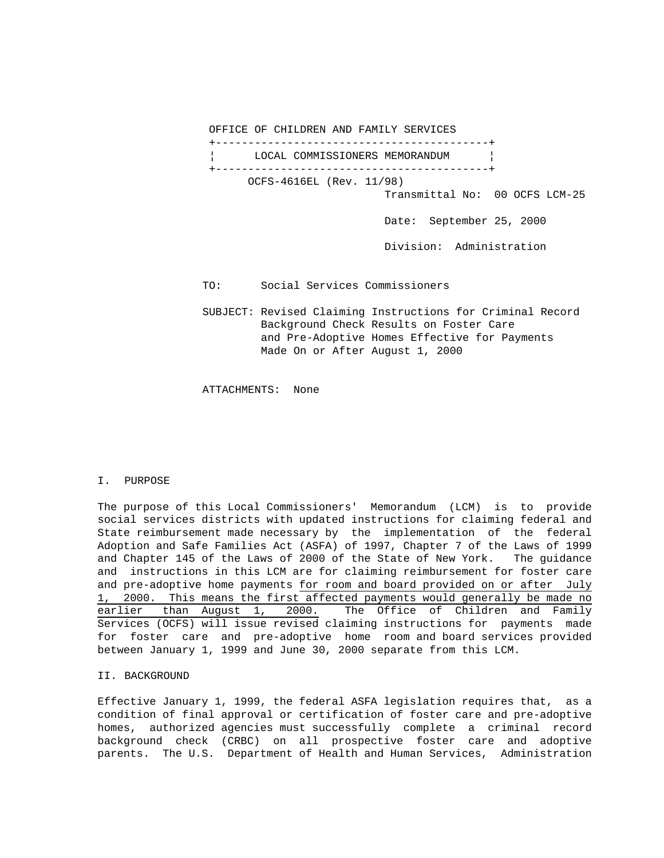OFFICE OF CHILDREN AND FAMILY SERVICES

 +------------------------------------------+ LOCAL COMMISSIONERS MEMORANDUM +------------------------------------------+ OCFS-4616EL (Rev. 11/98) Transmittal No: 00 OCFS LCM-25 Date: September 25, 2000 Division: Administration

- TO: Social Services Commissioners
- SUBJECT: Revised Claiming Instructions for Criminal Record Background Check Results on Foster Care and Pre-Adoptive Homes Effective for Payments Made On or After August 1, 2000

ATTACHMENTS: None

### I. PURPOSE

The purpose of this Local Commissioners' Memorandum (LCM) is to provide social services districts with updated instructions for claiming federal and State reimbursement made necessary by the implementation of the federal Adoption and Safe Families Act (ASFA) of 1997, Chapter 7 of the Laws of 1999 and Chapter 145 of the Laws of 2000 of the State of New York. The guidance and instructions in this LCM are for claiming reimbursement for foster care and pre-adoptive home payments for room and board provided on or after July 1, 2000. This means the first affected payments would generally be made no earlier than August 1, 2000. The Office of Children and Family Services (OCFS) will issue revised claiming instructions for payments made for foster care and pre-adoptive home room and board services provided between January 1, 1999 and June 30, 2000 separate from this LCM.

# II. BACKGROUND

Effective January 1, 1999, the federal ASFA legislation requires that, as a condition of final approval or certification of foster care and pre-adoptive homes, authorized agencies must successfully complete a criminal record background check (CRBC) on all prospective foster care and adoptive parents. The U.S. Department of Health and Human Services, Administration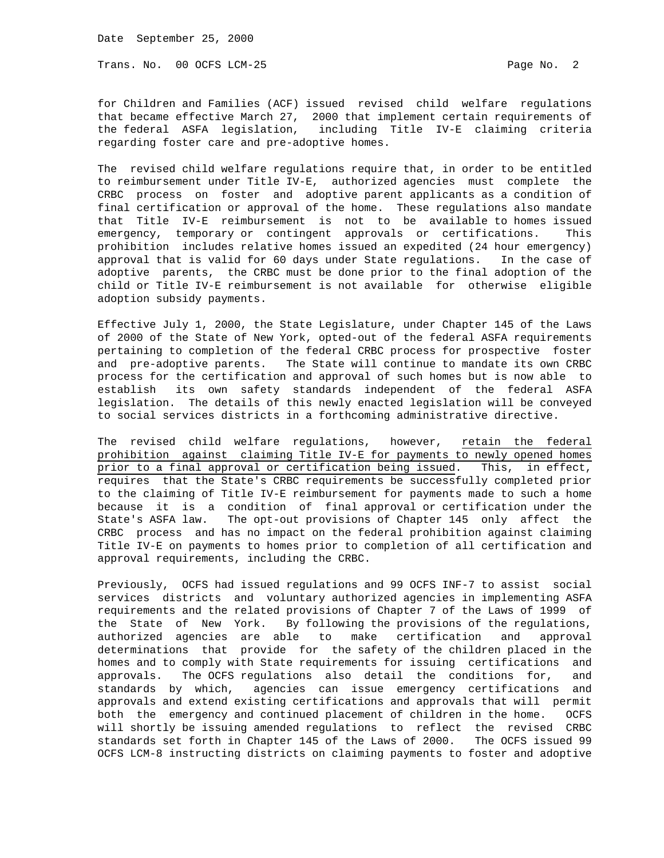Date September 25, 2000

Trans. No. 00 OCFS LCM-25 Page No. 2

for Children and Families (ACF) issued revised child welfare regulations that became effective March 27, 2000 that implement certain requirements of the federal ASFA legislation, including Title IV-E claiming criteria regarding foster care and pre-adoptive homes.

The revised child welfare regulations require that, in order to be entitled to reimbursement under Title IV-E, authorized agencies must complete the CRBC process on foster and adoptive parent applicants as a condition of final certification or approval of the home. These regulations also mandate that Title IV-E reimbursement is not to be available to homes issued emergency, temporary or contingent approvals or certifications. This prohibition includes relative homes issued an expedited (24 hour emergency) approval that is valid for 60 days under State regulations. In the case of adoptive parents, the CRBC must be done prior to the final adoption of the child or Title IV-E reimbursement is not available for otherwise eligible adoption subsidy payments.

Effective July 1, 2000, the State Legislature, under Chapter 145 of the Laws of 2000 of the State of New York, opted-out of the federal ASFA requirements pertaining to completion of the federal CRBC process for prospective foster and pre-adoptive parents. The State will continue to mandate its own CRBC process for the certification and approval of such homes but is now able to establish its own safety standards independent of the federal ASFA legislation. The details of this newly enacted legislation will be conveyed to social services districts in a forthcoming administrative directive.

The revised child welfare regulations, however, retain the federal prohibition against claiming Title IV-E for payments to newly opened homes prior to a final approval or certification being issued. This, in effect, requires that the State's CRBC requirements be successfully completed prior to the claiming of Title IV-E reimbursement for payments made to such a home because it is a condition of final approval or certification under the State's ASFA law. The opt-out provisions of Chapter 145 only affect the CRBC process and has no impact on the federal prohibition against claiming Title IV-E on payments to homes prior to completion of all certification and approval requirements, including the CRBC.

Previously, OCFS had issued regulations and 99 OCFS INF-7 to assist social services districts and voluntary authorized agencies in implementing ASFA requirements and the related provisions of Chapter 7 of the Laws of 1999 of the State of New York. By following the provisions of the regulations, authorized agencies are able to make certification and approval determinations that provide for the safety of the children placed in the homes and to comply with State requirements for issuing certifications and approvals. The OCFS regulations also detail the conditions for, and standards by which, agencies can issue emergency certifications and approvals and extend existing certifications and approvals that will permit both the emergency and continued placement of children in the home. OCFS will shortly be issuing amended regulations to reflect the revised CRBC standards set forth in Chapter 145 of the Laws of 2000. The OCFS issued 99 OCFS LCM-8 instructing districts on claiming payments to foster and adoptive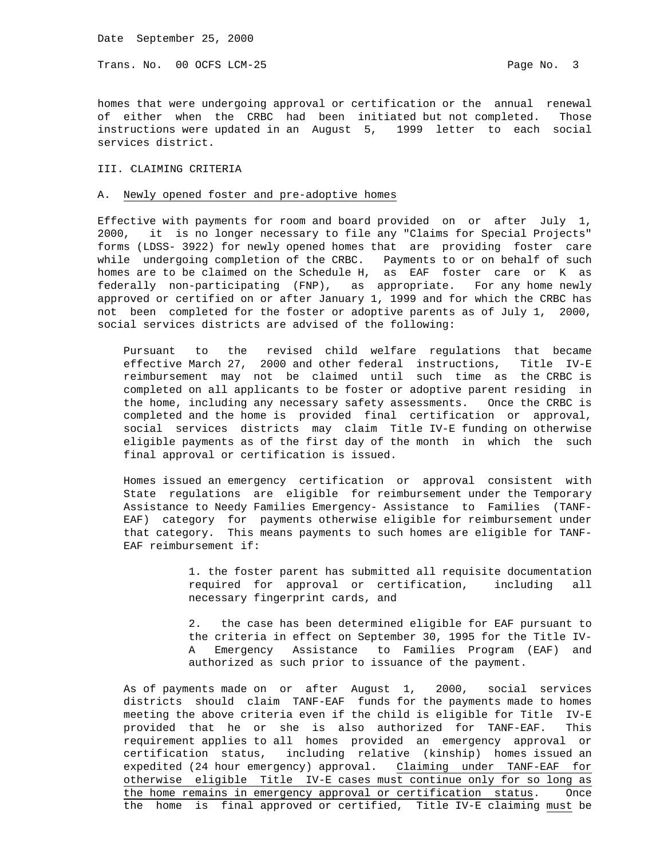Trans. No. 00 OCFS LCM-25 Page No. 3

homes that were undergoing approval or certification or the annual renewal of either when the CRBC had been initiated but not completed. Those instructions were updated in an August 5, 1999 letter to each social services district.

### III. CLAIMING CRITERIA

# A. Newly opened foster and pre-adoptive homes

Effective with payments for room and board provided on or after July 1, 2000, it is no longer necessary to file any "Claims for Special Projects" forms (LDSS- 3922) for newly opened homes that are providing foster care while undergoing completion of the CRBC. Payments to or on behalf of such homes are to be claimed on the Schedule H, as EAF foster care or K as federally non-participating (FNP), as appropriate. For any home newly approved or certified on or after January 1, 1999 and for which the CRBC has not been completed for the foster or adoptive parents as of July 1, 2000, social services districts are advised of the following:

 Pursuant to the revised child welfare regulations that became effective March 27, 2000 and other federal instructions, Title IV-E reimbursement may not be claimed until such time as the CRBC is completed on all applicants to be foster or adoptive parent residing in the home, including any necessary safety assessments. Once the CRBC is completed and the home is provided final certification or approval, social services districts may claim Title IV-E funding on otherwise eligible payments as of the first day of the month in which the such final approval or certification is issued.

 Homes issued an emergency certification or approval consistent with State regulations are eligible for reimbursement under the Temporary Assistance to Needy Families Emergency- Assistance to Families (TANF- EAF) category for payments otherwise eligible for reimbursement under that category. This means payments to such homes are eligible for TANF- EAF reimbursement if:

> 1. the foster parent has submitted all requisite documentation required for approval or certification, including all necessary fingerprint cards, and

> 2. the case has been determined eligible for EAF pursuant to the criteria in effect on September 30, 1995 for the Title IV- A Emergency Assistance to Families Program (EAF) and authorized as such prior to issuance of the payment.

 As of payments made on or after August 1, 2000, social services districts should claim TANF-EAF funds for the payments made to homes meeting the above criteria even if the child is eligible for Title IV-E provided that he or she is also authorized for TANF-EAF. This requirement applies to all homes provided an emergency approval or certification status, including relative (kinship) homes issued an expedited (24 hour emergency) approval. Claiming under TANF-EAF for otherwise eligible Title IV-E cases must continue only for so long as the home remains in emergency approval or certification status. Once the home is final approved or certified, Title IV-E claiming must be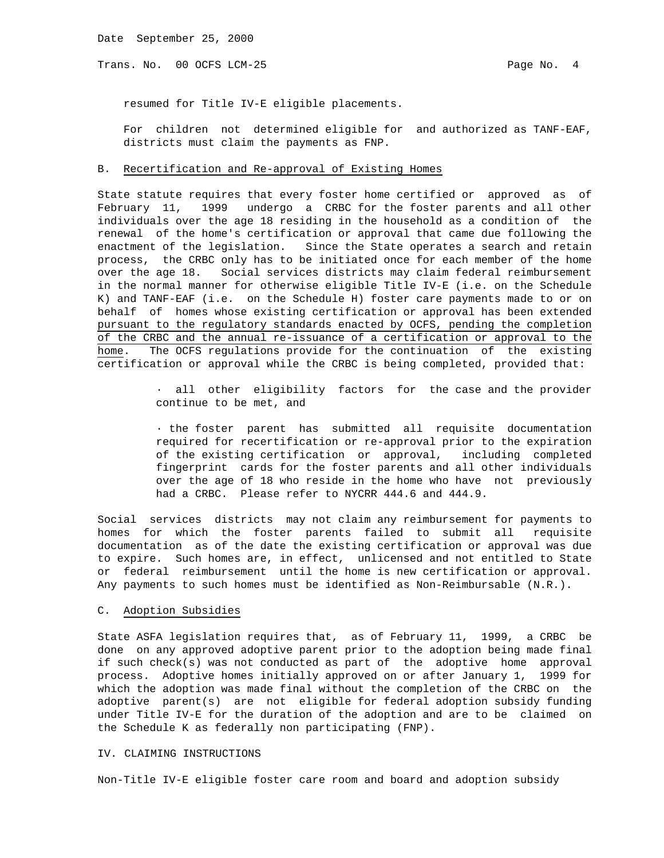Trans. No. 00 OCFS LCM-25 Page No. 4

resumed for Title IV-E eligible placements.

 For children not determined eligible for and authorized as TANF-EAF, districts must claim the payments as FNP.

# B. Recertification and Re-approval of Existing Homes

State statute requires that every foster home certified or approved as of February 11, 1999 undergo a CRBC for the foster parents and all other individuals over the age 18 residing in the household as a condition of the renewal of the home's certification or approval that came due following the enactment of the legislation. Since the State operates a search and retain process, the CRBC only has to be initiated once for each member of the home over the age 18. Social services districts may claim federal reimbursement in the normal manner for otherwise eligible Title IV-E (i.e. on the Schedule K) and TANF-EAF (i.e. on the Schedule H) foster care payments made to or on behalf of homes whose existing certification or approval has been extended pursuant to the regulatory standards enacted by OCFS, pending the completion of the CRBC and the annual re-issuance of a certification or approval to the home. The OCFS regulations provide for the continuation of the existing certification or approval while the CRBC is being completed, provided that:

> · all other eligibility factors for the case and the provider continue to be met, and

> · the foster parent has submitted all requisite documentation required for recertification or re-approval prior to the expiration of the existing certification or approval, including completed fingerprint cards for the foster parents and all other individuals over the age of 18 who reside in the home who have not previously had a CRBC. Please refer to NYCRR 444.6 and 444.9.

Social services districts may not claim any reimbursement for payments to homes for which the foster parents failed to submit all requisite documentation as of the date the existing certification or approval was due to expire. Such homes are, in effect, unlicensed and not entitled to State or federal reimbursement until the home is new certification or approval. Any payments to such homes must be identified as Non-Reimbursable (N.R.).

#### C. Adoption Subsidies

State ASFA legislation requires that, as of February 11, 1999, a CRBC be done on any approved adoptive parent prior to the adoption being made final if such check(s) was not conducted as part of the adoptive home approval process. Adoptive homes initially approved on or after January 1, 1999 for which the adoption was made final without the completion of the CRBC on the adoptive parent(s) are not eligible for federal adoption subsidy funding under Title IV-E for the duration of the adoption and are to be claimed on the Schedule K as federally non participating (FNP).

# IV. CLAIMING INSTRUCTIONS

Non-Title IV-E eligible foster care room and board and adoption subsidy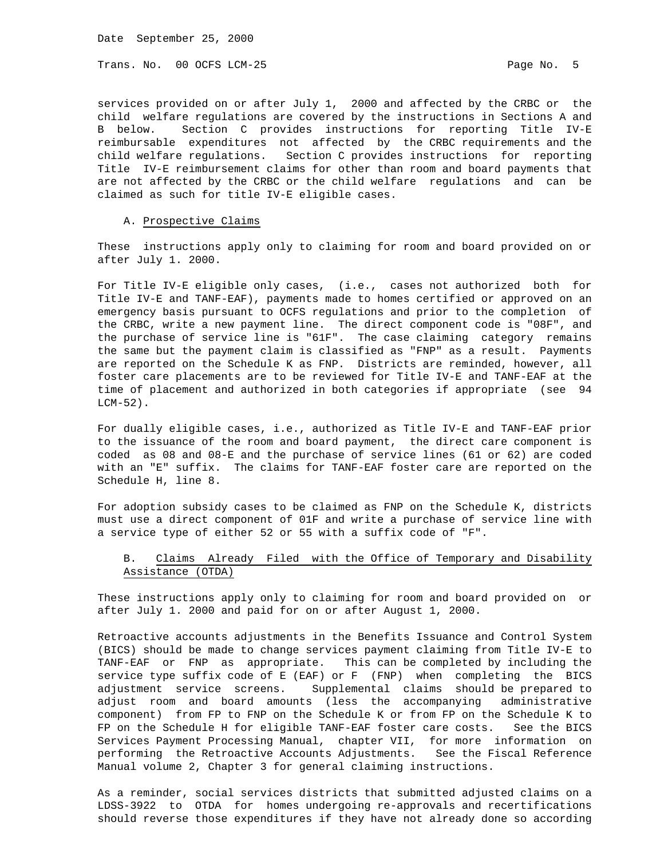Date September 25, 2000

Trans. No. 00 OCFS LCM-25 Page No. 5

services provided on or after July 1, 2000 and affected by the CRBC or the child welfare regulations are covered by the instructions in Sections A and B below. Section C provides instructions for reporting Title IV-E reimbursable expenditures not affected by the CRBC requirements and the child welfare regulations. Section C provides instructions for reporting Title IV-E reimbursement claims for other than room and board payments that are not affected by the CRBC or the child welfare regulations and can be claimed as such for title IV-E eligible cases.

### A. Prospective Claims

These instructions apply only to claiming for room and board provided on or after July 1. 2000.

For Title IV-E eligible only cases, (i.e., cases not authorized both for Title IV-E and TANF-EAF), payments made to homes certified or approved on an emergency basis pursuant to OCFS regulations and prior to the completion of the CRBC, write a new payment line. The direct component code is "08F", and the purchase of service line is "61F". The case claiming category remains the same but the payment claim is classified as "FNP" as a result. Payments are reported on the Schedule K as FNP. Districts are reminded, however, all foster care placements are to be reviewed for Title IV-E and TANF-EAF at the time of placement and authorized in both categories if appropriate (see 94  $LCM-52$ ).

For dually eligible cases, i.e., authorized as Title IV-E and TANF-EAF prior to the issuance of the room and board payment, the direct care component is coded as 08 and 08-E and the purchase of service lines (61 or 62) are coded with an "E" suffix. The claims for TANF-EAF foster care are reported on the Schedule H, line 8.

For adoption subsidy cases to be claimed as FNP on the Schedule K, districts must use a direct component of 01F and write a purchase of service line with a service type of either 52 or 55 with a suffix code of "F".

# B. Claims Already Filed with the Office of Temporary and Disability Assistance (OTDA)

These instructions apply only to claiming for room and board provided on or after July 1. 2000 and paid for on or after August 1, 2000.

Retroactive accounts adjustments in the Benefits Issuance and Control System (BICS) should be made to change services payment claiming from Title IV-E to TANF-EAF or FNP as appropriate. This can be completed by including the service type suffix code of E (EAF) or F (FNP) when completing the BICS adjustment service screens. Supplemental claims should be prepared to adjust room and board amounts (less the accompanying administrative component) from FP to FNP on the Schedule K or from FP on the Schedule K to FP on the Schedule H for eligible TANF-EAF foster care costs. See the BICS Services Payment Processing Manual, chapter VII, for more information on performing the Retroactive Accounts Adjustments. See the Fiscal Reference Manual volume 2, Chapter 3 for general claiming instructions.

As a reminder, social services districts that submitted adjusted claims on a LDSS-3922 to OTDA for homes undergoing re-approvals and recertifications should reverse those expenditures if they have not already done so according